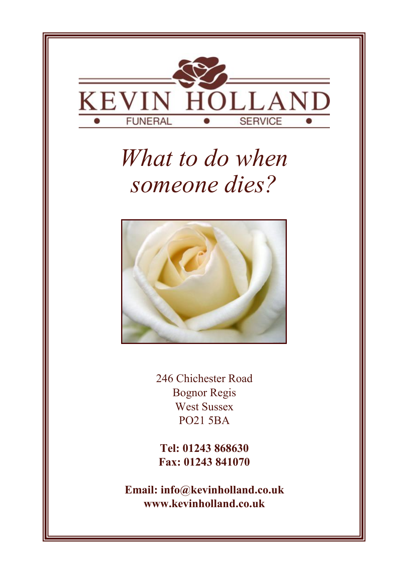

# *What to do when someone dies?*



246 Chichester Road Bognor Regis West Sussex PO21 5BA

**Tel: 01243 868630 Fax: 01243 841070**

**Email: info@kevinholland.co.uk www.kevinholland.co.uk**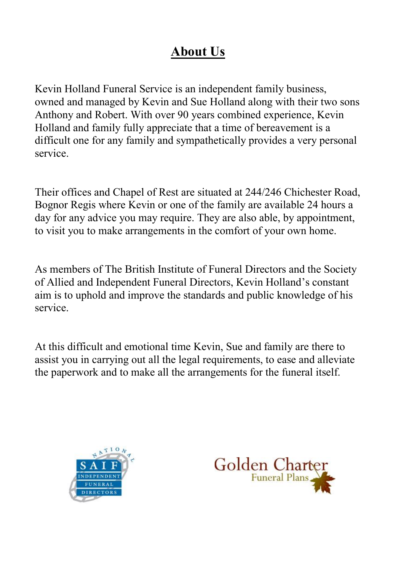# **About Us**

Kevin Holland Funeral Service is an independent family business, owned and managed by Kevin and Sue Holland along with their two sons Anthony and Robert. With over 90 years combined experience, Kevin Holland and family fully appreciate that a time of bereavement is a difficult one for any family and sympathetically provides a very personal service.

Their offices and Chapel of Rest are situated at 244/246 Chichester Road, Bognor Regis where Kevin or one of the family are available 24 hours a day for any advice you may require. They are also able, by appointment, to visit you to make arrangements in the comfort of your own home.

As members of The British Institute of Funeral Directors and the Society of Allied and Independent Funeral Directors, Kevin Holland's constant aim is to uphold and improve the standards and public knowledge of his service.

At this difficult and emotional time Kevin, Sue and family are there to assist you in carrying out all the legal requirements, to ease and alleviate the paperwork and to make all the arrangements for the funeral itself.



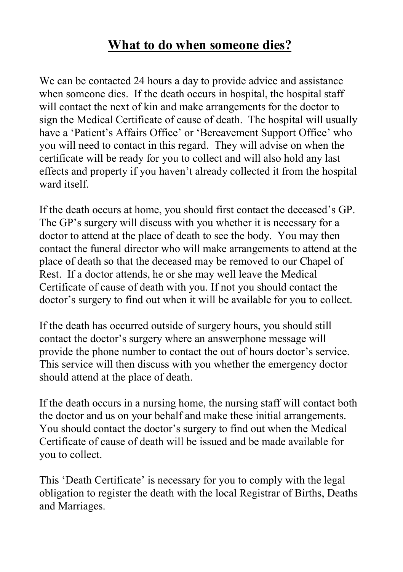# **What to do when someone dies?**

We can be contacted 24 hours a day to provide advice and assistance when someone dies. If the death occurs in hospital, the hospital staff will contact the next of kin and make arrangements for the doctor to sign the Medical Certificate of cause of death. The hospital will usually have a 'Patient's Affairs Office' or 'Bereavement Support Office' who you will need to contact in this regard. They will advise on when the certificate will be ready for you to collect and will also hold any last effects and property if you haven't already collected it from the hospital ward itself.

If the death occurs at home, you should first contact the deceased's GP. The GP's surgery will discuss with you whether it is necessary for a doctor to attend at the place of death to see the body. You may then contact the funeral director who will make arrangements to attend at the place of death so that the deceased may be removed to our Chapel of Rest. If a doctor attends, he or she may well leave the Medical Certificate of cause of death with you. If not you should contact the doctor's surgery to find out when it will be available for you to collect.

If the death has occurred outside of surgery hours, you should still contact the doctor's surgery where an answerphone message will provide the phone number to contact the out of hours doctor's service. This service will then discuss with you whether the emergency doctor should attend at the place of death.

If the death occurs in a nursing home, the nursing staff will contact both the doctor and us on your behalf and make these initial arrangements. You should contact the doctor's surgery to find out when the Medical Certificate of cause of death will be issued and be made available for you to collect.

This 'Death Certificate' is necessary for you to comply with the legal obligation to register the death with the local Registrar of Births, Deaths and Marriages.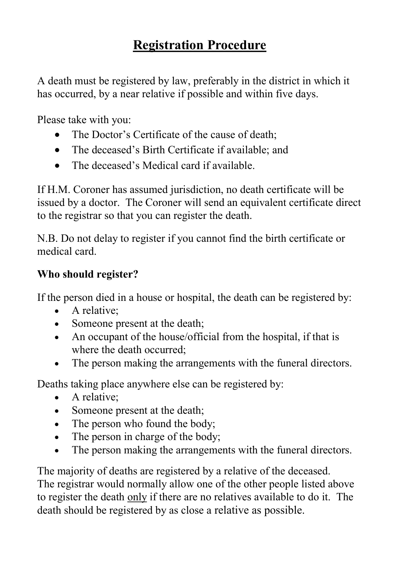# **Registration Procedure**

A death must be registered by law, preferably in the district in which it has occurred, by a near relative if possible and within five days.

Please take with you:

- The Doctor's Certificate of the cause of death:
- The deceased's Birth Certificate if available; and
- The deceased's Medical card if available.

If H.M. Coroner has assumed jurisdiction, no death certificate will be issued by a doctor. The Coroner will send an equivalent certificate direct to the registrar so that you can register the death.

N.B. Do not delay to register if you cannot find the birth certificate or medical card.

## **Who should register?**

If the person died in a house or hospital, the death can be registered by:

- A relative:
- Someone present at the death;
- An occupant of the house/official from the hospital, if that is where the death occurred;
- The person making the arrangements with the funeral directors.

Deaths taking place anywhere else can be registered by:

- A relative:
- Someone present at the death;
- The person who found the body;
- The person in charge of the body:
- The person making the arrangements with the funeral directors.

The majority of deaths are registered by a relative of the deceased. The registrar would normally allow one of the other people listed above to register the death only if there are no relatives available to do it. The death should be registered by as close a relative as possible.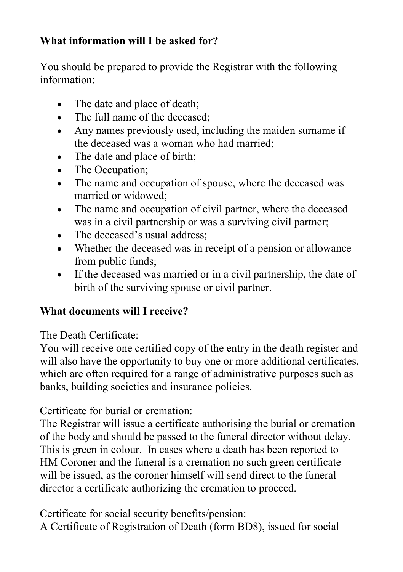## **What information will I be asked for?**

You should be prepared to provide the Registrar with the following information:

- The date and place of death;
- The full name of the deceased:
- Any names previously used, including the maiden surname if the deceased was a woman who had married;
- The date and place of birth;
- The Occupation;
- The name and occupation of spouse, where the deceased was married or widowed;
- The name and occupation of civil partner, where the deceased was in a civil partnership or was a surviving civil partner;
- The deceased's usual address;
- Whether the deceased was in receipt of a pension or allowance from public funds;
- If the deceased was married or in a civil partnership, the date of birth of the surviving spouse or civil partner.

## **What documents will I receive?**

The Death Certificate:

You will receive one certified copy of the entry in the death register and will also have the opportunity to buy one or more additional certificates, which are often required for a range of administrative purposes such as banks, building societies and insurance policies.

Certificate for burial or cremation:

The Registrar will issue a certificate authorising the burial or cremation of the body and should be passed to the funeral director without delay. This is green in colour. In cases where a death has been reported to HM Coroner and the funeral is a cremation no such green certificate will be issued, as the coroner himself will send direct to the funeral director a certificate authorizing the cremation to proceed.

Certificate for social security benefits/pension:

A Certificate of Registration of Death (form BD8), issued for social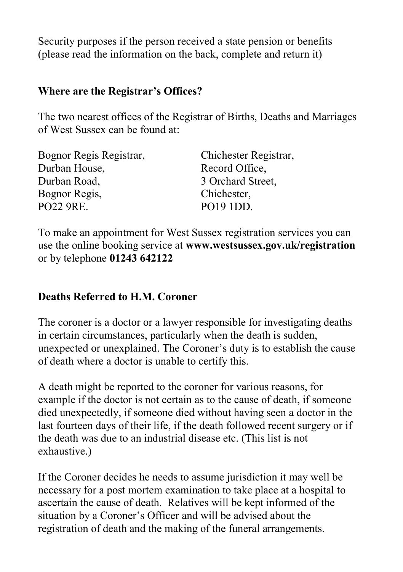Security purposes if the person received a state pension or benefits (please read the information on the back, complete and return it)

#### **Where are the Registrar's Offices?**

The two nearest offices of the Registrar of Births, Deaths and Marriages of West Sussex can be found at:

| Bognor Regis Registrar, | Chichester Registrar, |
|-------------------------|-----------------------|
| Durban House,           | Record Office,        |
| Durban Road,            | 3 Orchard Street,     |
| Bognor Regis,           | Chichester,           |
| PO22 9RE.               | PO19 1DD.             |
|                         |                       |

To make an appointment for West Sussex registration services you can use the online booking service at **www.westsussex.gov.uk/registration**  or by telephone **01243 642122**

#### **Deaths Referred to H.M. Coroner**

The coroner is a doctor or a lawyer responsible for investigating deaths in certain circumstances, particularly when the death is sudden, unexpected or unexplained. The Coroner's duty is to establish the cause of death where a doctor is unable to certify this.

A death might be reported to the coroner for various reasons, for example if the doctor is not certain as to the cause of death, if someone died unexpectedly, if someone died without having seen a doctor in the last fourteen days of their life, if the death followed recent surgery or if the death was due to an industrial disease etc. (This list is not exhaustive.)

If the Coroner decides he needs to assume jurisdiction it may well be necessary for a post mortem examination to take place at a hospital to ascertain the cause of death. Relatives will be kept informed of the situation by a Coroner's Officer and will be advised about the registration of death and the making of the funeral arrangements.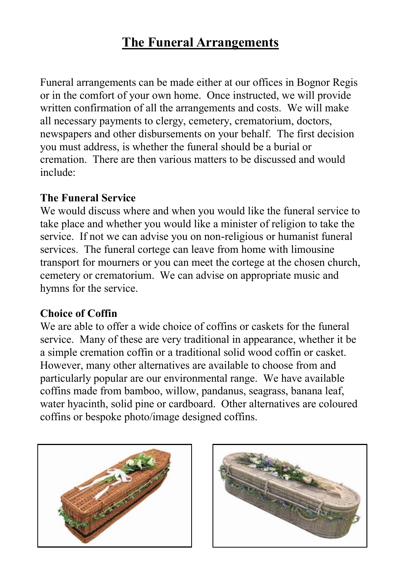# **The Funeral Arrangements**

Funeral arrangements can be made either at our offices in Bognor Regis or in the comfort of your own home. Once instructed, we will provide written confirmation of all the arrangements and costs. We will make all necessary payments to clergy, cemetery, crematorium, doctors, newspapers and other disbursements on your behalf. The first decision you must address, is whether the funeral should be a burial or cremation. There are then various matters to be discussed and would include:

#### **The Funeral Service**

We would discuss where and when you would like the funeral service to take place and whether you would like a minister of religion to take the service. If not we can advise you on non-religious or humanist funeral services. The funeral cortege can leave from home with limousine transport for mourners or you can meet the cortege at the chosen church, cemetery or crematorium. We can advise on appropriate music and hymns for the service.

#### **Choice of Coffin**

We are able to offer a wide choice of coffins or caskets for the funeral service. Many of these are very traditional in appearance, whether it be a simple cremation coffin or a traditional solid wood coffin or casket. However, many other alternatives are available to choose from and particularly popular are our environmental range. We have available coffins made from bamboo, willow, pandanus, seagrass, banana leaf, water hyacinth, solid pine or cardboard. Other alternatives are coloured coffins or bespoke photo/image designed coffins.



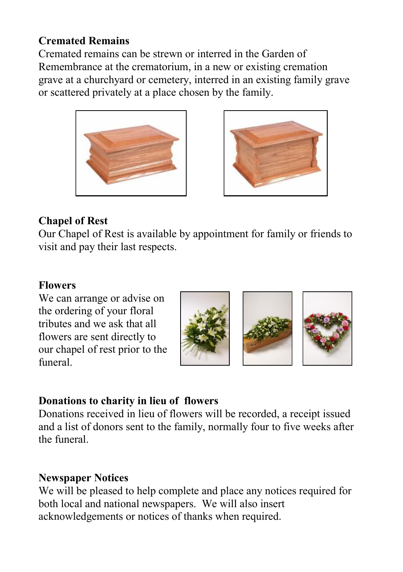#### **Cremated Remains**

Cremated remains can be strewn or interred in the Garden of Remembrance at the crematorium, in a new or existing cremation grave at a churchyard or cemetery, interred in an existing family grave or scattered privately at a place chosen by the family.





#### **Chapel of Rest**

Our Chapel of Rest is available by appointment for family or friends to visit and pay their last respects.

#### **Flowers**

We can arrange or advise on the ordering of your floral tributes and we ask that all flowers are sent directly to our chapel of rest prior to the funeral.



## **Donations to charity in lieu of flowers**

Donations received in lieu of flowers will be recorded, a receipt issued and a list of donors sent to the family, normally four to five weeks after the funeral.

## **Newspaper Notices**

We will be pleased to help complete and place any notices required for both local and national newspapers. We will also insert acknowledgements or notices of thanks when required.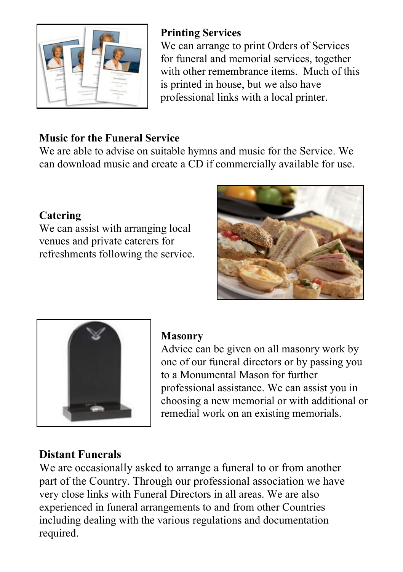

## **Printing Services**

We can arrange to print Orders of Services for funeral and memorial services, together with other remembrance items. Much of this is printed in house, but we also have professional links with a local printer.

## **Music for the Funeral Service**

We are able to advise on suitable hymns and music for the Service. We can download music and create a CD if commercially available for use.

## **Catering**

We can assist with arranging local venues and private caterers for refreshments following the service.





## **Masonry**

Advice can be given on all masonry work by one of our funeral directors or by passing you to a Monumental Mason for further professional assistance. We can assist you in choosing a new memorial or with additional or remedial work on an existing memorials.

## **Distant Funerals**

We are occasionally asked to arrange a funeral to or from another part of the Country. Through our professional association we have very close links with Funeral Directors in all areas. We are also experienced in funeral arrangements to and from other Countries including dealing with the various regulations and documentation required.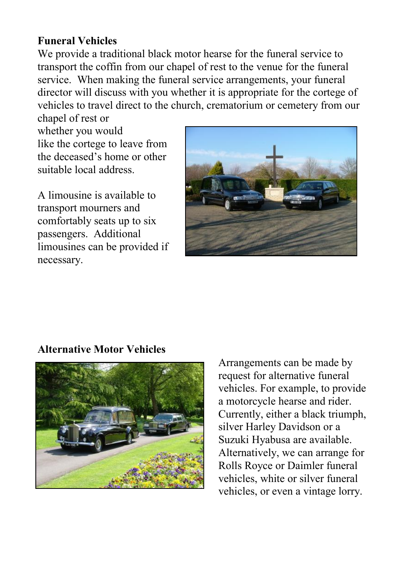#### **Funeral Vehicles**

We provide a traditional black motor hearse for the funeral service to transport the coffin from our chapel of rest to the venue for the funeral service. When making the funeral service arrangements, your funeral director will discuss with you whether it is appropriate for the cortege of vehicles to travel direct to the church, crematorium or cemetery from our

chapel of rest or whether you would like the cortege to leave from the deceased's home or other suitable local address.

A limousine is available to transport mourners and comfortably seats up to six passengers. Additional limousines can be provided if necessary.



#### **Alternative Motor Vehicles**



Arrangements can be made by request for alternative funeral vehicles. For example, to provide a motorcycle hearse and rider. Currently, either a black triumph, silver Harley Davidson or a Suzuki Hyabusa are available. Alternatively, we can arrange for Rolls Royce or Daimler funeral vehicles, white or silver funeral vehicles, or even a vintage lorry.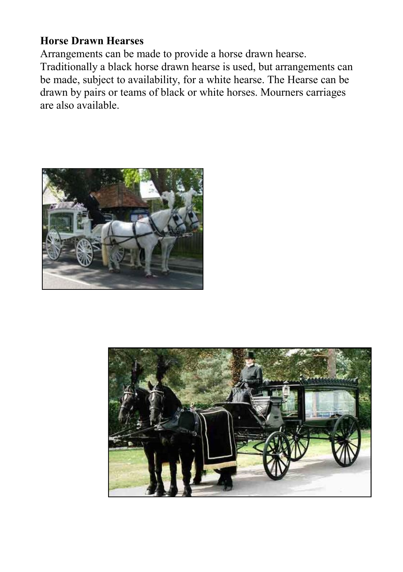#### **Horse Drawn Hearses**

Arrangements can be made to provide a horse drawn hearse. Traditionally a black horse drawn hearse is used, but arrangements can be made, subject to availability, for a white hearse. The Hearse can be drawn by pairs or teams of black or white horses. Mourners carriages are also available.



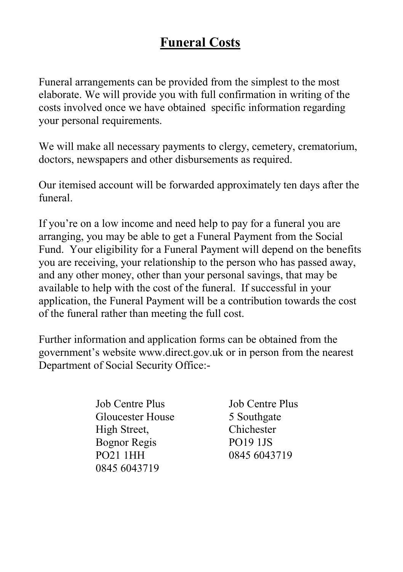# **Funeral Costs**

Funeral arrangements can be provided from the simplest to the most elaborate. We will provide you with full confirmation in writing of the costs involved once we have obtained specific information regarding your personal requirements.

We will make all necessary payments to clergy, cemetery, crematorium, doctors, newspapers and other disbursements as required.

Our itemised account will be forwarded approximately ten days after the funeral.

If you're on a low income and need help to pay for a funeral you are arranging, you may be able to get a Funeral Payment from the Social Fund. Your eligibility for a Funeral Payment will depend on the benefits you are receiving, your relationship to the person who has passed away, and any other money, other than your personal savings, that may be available to help with the cost of the funeral. If successful in your application, the Funeral Payment will be a contribution towards the cost of the funeral rather than meeting the full cost.

Further information and application forms can be obtained from the government's website www.direct.gov.uk or in person from the nearest Department of Social Security Office:-

> Job Centre Plus Job Centre Plus Gloucester House 5 Southgate High Street, Chichester Bognor Regis PO19 1JS PO21 1HH 0845 6043719 0845 6043719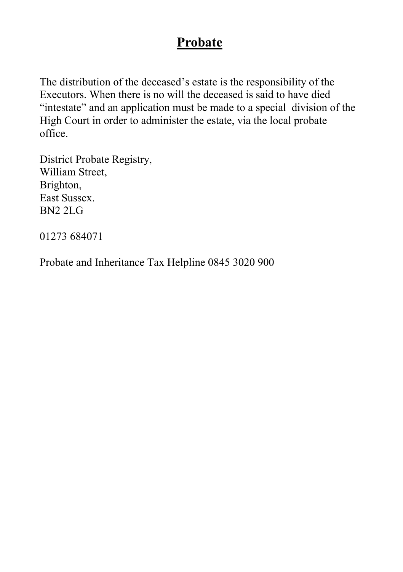## **Probate**

The distribution of the deceased's estate is the responsibility of the Executors. When there is no will the deceased is said to have died "intestate" and an application must be made to a special division of the High Court in order to administer the estate, via the local probate office.

District Probate Registry, William Street, Brighton, East Sussex. BN2 2LG

01273 684071

Probate and Inheritance Tax Helpline 0845 3020 900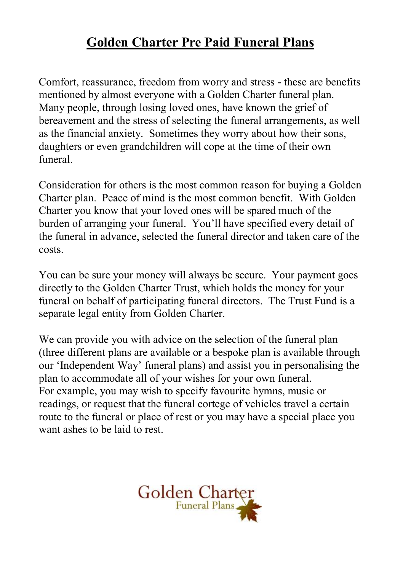# **Golden Charter Pre Paid Funeral Plans**

Comfort, reassurance, freedom from worry and stress - these are benefits mentioned by almost everyone with a Golden Charter funeral plan. Many people, through losing loved ones, have known the grief of bereavement and the stress of selecting the funeral arrangements, as well as the financial anxiety. Sometimes they worry about how their sons, daughters or even grandchildren will cope at the time of their own funeral.

Consideration for others is the most common reason for buying a Golden Charter plan. Peace of mind is the most common benefit. With Golden Charter you know that your loved ones will be spared much of the burden of arranging your funeral. You'll have specified every detail of the funeral in advance, selected the funeral director and taken care of the costs.

You can be sure your money will always be secure. Your payment goes directly to the Golden Charter Trust, which holds the money for your funeral on behalf of participating funeral directors. The Trust Fund is a separate legal entity from Golden Charter.

We can provide you with advice on the selection of the funeral plan (three different plans are available or a bespoke plan is available through our 'Independent Way' funeral plans) and assist you in personalising the plan to accommodate all of your wishes for your own funeral. For example, you may wish to specify favourite hymns, music or readings, or request that the funeral cortege of vehicles travel a certain route to the funeral or place of rest or you may have a special place you want ashes to be laid to rest.

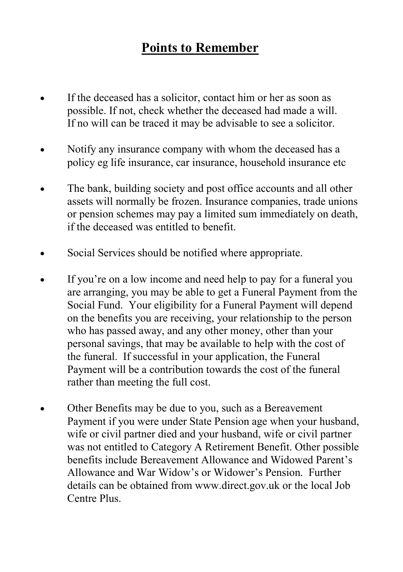# **Points to Remember**

- If the deceased has a solicitor, contact him or her as soon as possible. If not, check whether the deceased had made a will. If no will can be traced it may be advisable to see a solicitor.
- Notify any insurance company with whom the deceased has a policy eg life insurance, car insurance, household insurance etc
- The bank, building society and post office accounts and all other assets will normally be frozen. Insurance companies, trade unions or pension schemes may pay a limited sum immediately on death, if the deceased was entitled to benefit.
- Social Services should be notified where appropriate.
- If you're on a low income and need help to pay for a funeral you are arranging, you may be able to get a Funeral Payment from the Social Fund. Your eligibility for a Funeral Payment will depend on the benefits you are receiving, your relationship to the person who has passed away, and any other money, other than your personal savings, that may be available to help with the cost of the funeral. If successful in your application, the Funeral Payment will be a contribution towards the cost of the funeral rather than meeting the full cost.
- Other Benefits may be due to you, such as a Bereavement Payment if you were under State Pension age when your husband, wife or civil partner died and your husband, wife or civil partner was not entitled to Category A Retirement Benefit. Other possible benefits include Bereavement Allowance and Widowed Parent's Allowance and War Widow's or Widower's Pension. Further details can be obtained from www.direct.gov.uk or the local Job Centre Plus.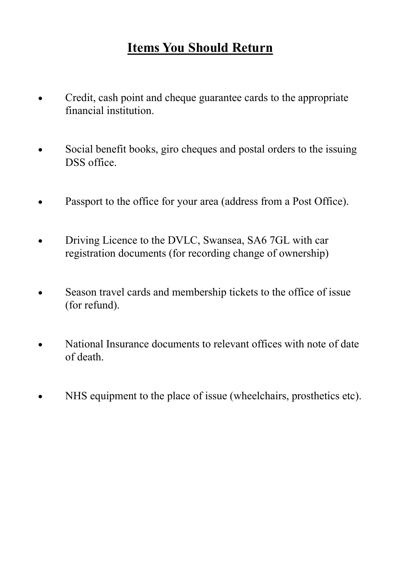# **Items You Should Return**

- Credit, cash point and cheque guarantee cards to the appropriate financial institution.
- Social benefit books, giro cheques and postal orders to the issuing DSS office.
- Passport to the office for your area (address from a Post Office).
- Driving Licence to the DVLC, Swansea, SA6 7GL with car registration documents (for recording change of ownership)
- Season travel cards and membership tickets to the office of issue (for refund).
- National Insurance documents to relevant offices with note of date of death.
- NHS equipment to the place of issue (wheelchairs, prosthetics etc).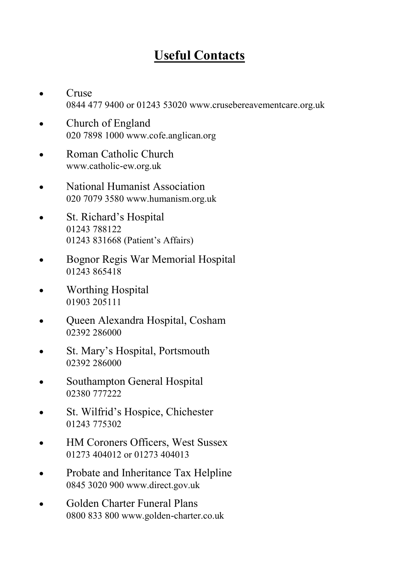# **Useful Contacts**

- Cruse 0844 477 9400 or 01243 53020 www.crusebereavementcare.org.uk
- Church of England 020 7898 1000 www.cofe.anglican.org
- Roman Catholic Church www.catholic-ew.org.uk
- National Humanist Association 020 7079 3580 www.humanism.org.uk
- St. Richard's Hospital 01243 788122 01243 831668 (Patient's Affairs)
- Bognor Regis War Memorial Hospital 01243 865418
- Worthing Hospital 01903 205111
- Queen Alexandra Hospital, Cosham 02392 286000
- St. Mary's Hospital, Portsmouth 02392 286000
- Southampton General Hospital 02380 777222
- St. Wilfrid's Hospice, Chichester 01243 775302
- HM Coroners Officers, West Sussex 01273 404012 or 01273 404013
- Probate and Inheritance Tax Helpline 0845 3020 900 www.direct.gov.uk
- Golden Charter Funeral Plans 0800 833 800 www.golden-charter.co.uk